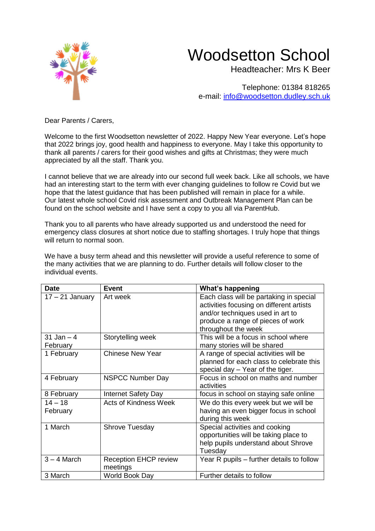

## Woodsetton School

Headteacher: Mrs K Beer

Telephone: 01384 818265 e-mail: [info@woodsetton.dudley.sch.uk](mailto:info@woodsetton.dudley.sch.uk)

Dear Parents / Carers,

Welcome to the first Woodsetton newsletter of 2022. Happy New Year everyone. Let's hope that 2022 brings joy, good health and happiness to everyone. May I take this opportunity to thank all parents / carers for their good wishes and gifts at Christmas; they were much appreciated by all the staff. Thank you.

I cannot believe that we are already into our second full week back. Like all schools, we have had an interesting start to the term with ever changing guidelines to follow re Covid but we hope that the latest guidance that has been published will remain in place for a while. Our latest whole school Covid risk assessment and Outbreak Management Plan can be found on the school website and I have sent a copy to you all via ParentHub.

Thank you to all parents who have already supported us and understood the need for emergency class closures at short notice due to staffing shortages. I truly hope that things will return to normal soon.

We have a busy term ahead and this newsletter will provide a useful reference to some of the many activities that we are planning to do. Further details will follow closer to the individual events.

| <b>Date</b>             | <b>Event</b>                             | <b>What's happening</b>                                                                                                                                                             |
|-------------------------|------------------------------------------|-------------------------------------------------------------------------------------------------------------------------------------------------------------------------------------|
| $17 - 21$ January       | Art week                                 | Each class will be partaking in special<br>activities focusing on different artists<br>and/or techniques used in art to<br>produce a range of pieces of work<br>throughout the week |
| 31 Jan $-4$<br>February | Storytelling week                        | This will be a focus in school where<br>many stories will be shared                                                                                                                 |
| 1 February              | <b>Chinese New Year</b>                  | A range of special activities will be<br>planned for each class to celebrate this<br>special day - Year of the tiger.                                                               |
| 4 February              | <b>NSPCC Number Day</b>                  | Focus in school on maths and number<br>activities                                                                                                                                   |
| 8 February              | <b>Internet Safety Day</b>               | focus in school on staying safe online                                                                                                                                              |
| $14 - 18$<br>February   | <b>Acts of Kindness Week</b>             | We do this every week but we will be<br>having an even bigger focus in school<br>during this week                                                                                   |
| 1 March                 | Shrove Tuesday                           | Special activities and cooking<br>opportunities will be taking place to<br>help pupils understand about Shrove<br>Tuesday                                                           |
| $3 - 4$ March           | <b>Reception EHCP review</b><br>meetings | Year R pupils – further details to follow                                                                                                                                           |
| 3 March                 | World Book Day                           | Further details to follow                                                                                                                                                           |